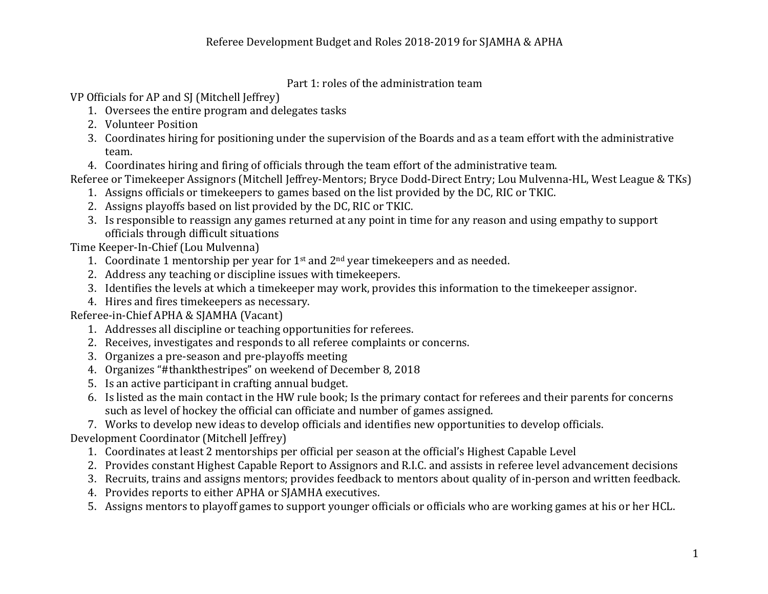Part 1: roles of the administration team

VP Officials for AP and SJ (Mitchell Jeffrey)

- 1. Oversees the entire program and delegates tasks
- 2. Volunteer Position
- 3. Coordinates hiring for positioning under the supervision of the Boards and as a team effort with the administrative team.
- 4. Coordinates hiring and firing of officials through the team effort of the administrative team.

Referee or Timekeeper Assignors (Mitchell Jeffrey-Mentors; Bryce Dodd-Direct Entry; Lou Mulvenna-HL, West League & TKs)

- 1. Assigns officials or timekeepers to games based on the list provided by the DC, RIC or TKIC.
- 2. Assigns playoffs based on list provided by the DC, RIC or TKIC.
- 3. Is responsible to reassign any games returned at any point in time for any reason and using empathy to support officials through difficult situations

Time Keeper-In-Chief (Lou Mulvenna)

- 1. Coordinate 1 mentorship per year for  $1<sup>st</sup>$  and  $2<sup>nd</sup>$  year timekeepers and as needed.
- 2. Address any teaching or discipline issues with timekeepers.
- 3. Identifies the levels at which a timekeeper may work, provides this information to the timekeeper assignor.
- 4. Hires and fires timekeepers as necessary.

Referee-in-Chief APHA & SIAMHA (Vacant)

- 1. Addresses all discipline or teaching opportunities for referees.
- 2. Receives, investigates and responds to all referee complaints or concerns.
- 3. Organizes a pre-season and pre-playoffs meeting
- 4. Organizes "#thankthestripes" on weekend of December 8, 2018
- 5. Is an active participant in crafting annual budget.
- 6. Is listed as the main contact in the HW rule book; Is the primary contact for referees and their parents for concerns such as level of hockey the official can officiate and number of games assigned.
- 7. Works to develop new ideas to develop officials and identifies new opportunities to develop officials.

Development Coordinator (Mitchell Jeffrey)

- 1. Coordinates at least 2 mentorships per official per season at the official's Highest Capable Level
- 2. Provides constant Highest Capable Report to Assignors and R.I.C. and assists in referee level advancement decisions
- 3. Recruits, trains and assigns mentors; provides feedback to mentors about quality of in-person and written feedback.
- 4. Provides reports to either APHA or SJAMHA executives.
- 5. Assigns mentors to playoff games to support younger officials or officials who are working games at his or her HCL.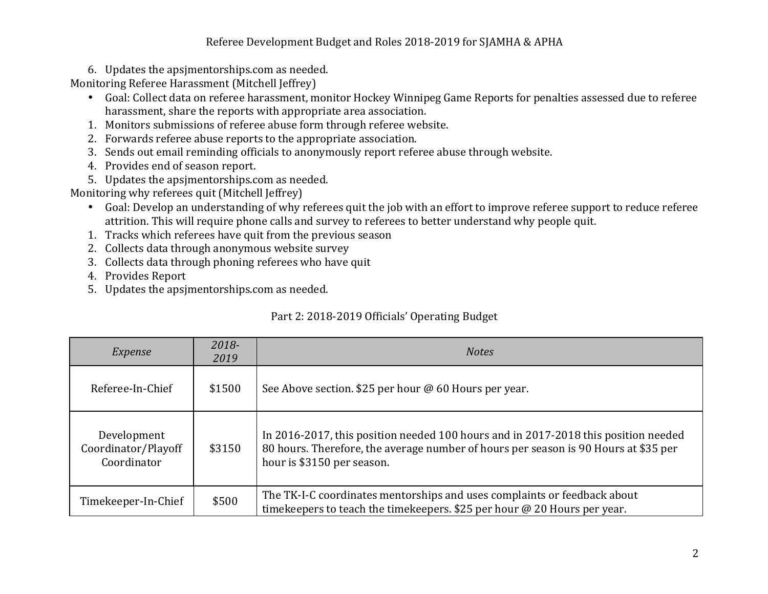## Referee Development Budget and Roles 2018-2019 for SJAMHA & APHA

6. Updates the apsimentorships.com as needed.

Monitoring Referee Harassment (Mitchell Jeffrey)

- Goal: Collect data on referee harassment, monitor Hockey Winnipeg Game Reports for penalties assessed due to referee harassment, share the reports with appropriate area association.
- 1. Monitors submissions of referee abuse form through referee website.
- 2. Forwards referee abuse reports to the appropriate association.
- 3. Sends out email reminding officials to anonymously report referee abuse through website.
- 4. Provides end of season report.
- 5. Updates the apsimentorships.com as needed.

Monitoring why referees quit (Mitchell Jeffrey)

- Goal: Develop an understanding of why referees quit the job with an effort to improve referee support to reduce referee attrition. This will require phone calls and survey to referees to better understand why people quit.
- 1. Tracks which referees have quit from the previous season
- 2. Collects data through anonymous website survey
- 3. Collects data through phoning referees who have quit
- 4. Provides Report
- 5. Updates the apsimentorships.com as needed.

## Part 2: 2018-2019 Officials' Operating Budget

| Expense                                           | 2018-<br>2019 | <b>Notes</b>                                                                                                                                                                                            |
|---------------------------------------------------|---------------|---------------------------------------------------------------------------------------------------------------------------------------------------------------------------------------------------------|
| Referee-In-Chief                                  | \$1500        | See Above section. \$25 per hour @ 60 Hours per year.                                                                                                                                                   |
| Development<br>Coordinator/Playoff<br>Coordinator | \$3150        | In 2016-2017, this position needed 100 hours and in 2017-2018 this position needed<br>80 hours. Therefore, the average number of hours per season is 90 Hours at \$35 per<br>hour is \$3150 per season. |
| Timekeeper-In-Chief                               | \$500         | The TK-I-C coordinates mentorships and uses complaints or feedback about<br>timekeepers to teach the timekeepers. \$25 per hour $@$ 20 Hours per year.                                                  |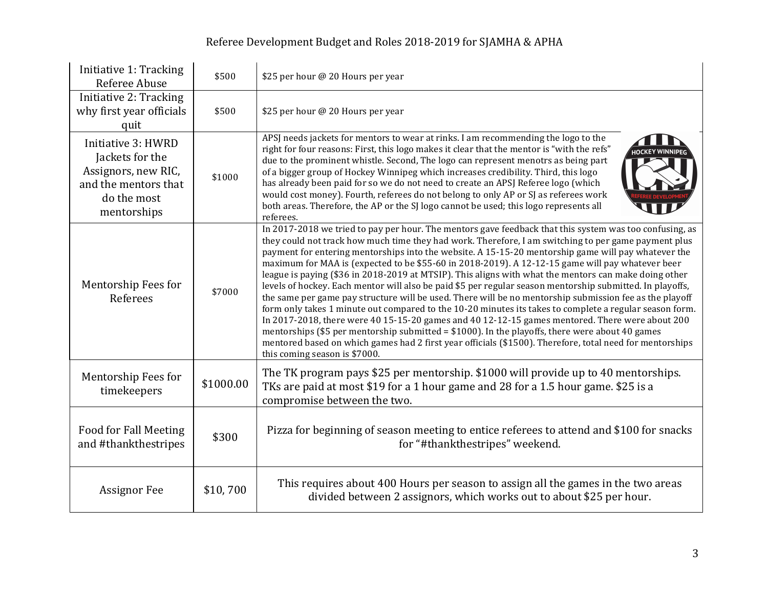## Referee Development Budget and Roles 2018-2019 for SJAMHA & APHA

| Initiative 1: Tracking<br>Referee Abuse                                                                            | \$500     | \$25 per hour @ 20 Hours per year                                                                                                                                                                                                                                                                                                                                                                                                                                                                                                                                                                                                                                                                                                                                                                                                                                                                                                                                                                                                                                                                                                                                                                                           |
|--------------------------------------------------------------------------------------------------------------------|-----------|-----------------------------------------------------------------------------------------------------------------------------------------------------------------------------------------------------------------------------------------------------------------------------------------------------------------------------------------------------------------------------------------------------------------------------------------------------------------------------------------------------------------------------------------------------------------------------------------------------------------------------------------------------------------------------------------------------------------------------------------------------------------------------------------------------------------------------------------------------------------------------------------------------------------------------------------------------------------------------------------------------------------------------------------------------------------------------------------------------------------------------------------------------------------------------------------------------------------------------|
| Initiative 2: Tracking<br>why first year officials<br>quit                                                         | \$500     | \$25 per hour @ 20 Hours per year                                                                                                                                                                                                                                                                                                                                                                                                                                                                                                                                                                                                                                                                                                                                                                                                                                                                                                                                                                                                                                                                                                                                                                                           |
| Initiative 3: HWRD<br>Jackets for the<br>Assignors, new RIC,<br>and the mentors that<br>do the most<br>mentorships | \$1000    | APSJ needs jackets for mentors to wear at rinks. I am recommending the logo to the<br>right for four reasons: First, this logo makes it clear that the mentor is "with the refs"<br><b>HOCKEY WINNI</b><br>due to the prominent whistle. Second, The logo can represent menotrs as being part<br>of a bigger group of Hockey Winnipeg which increases credibility. Third, this logo<br>has already been paid for so we do not need to create an APSJ Referee logo (which<br>would cost money). Fourth, referees do not belong to only AP or SJ as referees work<br>both areas. Therefore, the AP or the SJ logo cannot be used; this logo represents all<br>referees.                                                                                                                                                                                                                                                                                                                                                                                                                                                                                                                                                       |
| Mentorship Fees for<br>Referees                                                                                    | \$7000    | In 2017-2018 we tried to pay per hour. The mentors gave feedback that this system was too confusing, as<br>they could not track how much time they had work. Therefore, I am switching to per game payment plus<br>payment for entering mentorships into the website. A 15-15-20 mentorship game will pay whatever the<br>maximum for MAA is (expected to be \$55-60 in 2018-2019). A 12-12-15 game will pay whatever beer<br>league is paying (\$36 in 2018-2019 at MTSIP). This aligns with what the mentors can make doing other<br>levels of hockey. Each mentor will also be paid \$5 per regular season mentorship submitted. In playoffs,<br>the same per game pay structure will be used. There will be no mentorship submission fee as the playoff<br>form only takes 1 minute out compared to the 10-20 minutes its takes to complete a regular season form.<br>In 2017-2018, there were 40 15-15-20 games and 40 12-12-15 games mentored. There were about 200<br>mentorships (\$5 per mentorship submitted = $$1000$ ). In the playoffs, there were about 40 games<br>mentored based on which games had 2 first year officials (\$1500). Therefore, total need for mentorships<br>this coming season is \$7000. |
| Mentorship Fees for<br>timekeepers                                                                                 | \$1000.00 | The TK program pays \$25 per mentorship. \$1000 will provide up to 40 mentorships.<br>TKs are paid at most \$19 for a 1 hour game and 28 for a 1.5 hour game. \$25 is a<br>compromise between the two.                                                                                                                                                                                                                                                                                                                                                                                                                                                                                                                                                                                                                                                                                                                                                                                                                                                                                                                                                                                                                      |
| <b>Food for Fall Meeting</b><br>and #thankthestripes                                                               | \$300     | Pizza for beginning of season meeting to entice referees to attend and \$100 for snacks<br>for "#thankthestripes" weekend.                                                                                                                                                                                                                                                                                                                                                                                                                                                                                                                                                                                                                                                                                                                                                                                                                                                                                                                                                                                                                                                                                                  |
| <b>Assignor Fee</b>                                                                                                | \$10,700  | This requires about 400 Hours per season to assign all the games in the two areas<br>divided between 2 assignors, which works out to about \$25 per hour.                                                                                                                                                                                                                                                                                                                                                                                                                                                                                                                                                                                                                                                                                                                                                                                                                                                                                                                                                                                                                                                                   |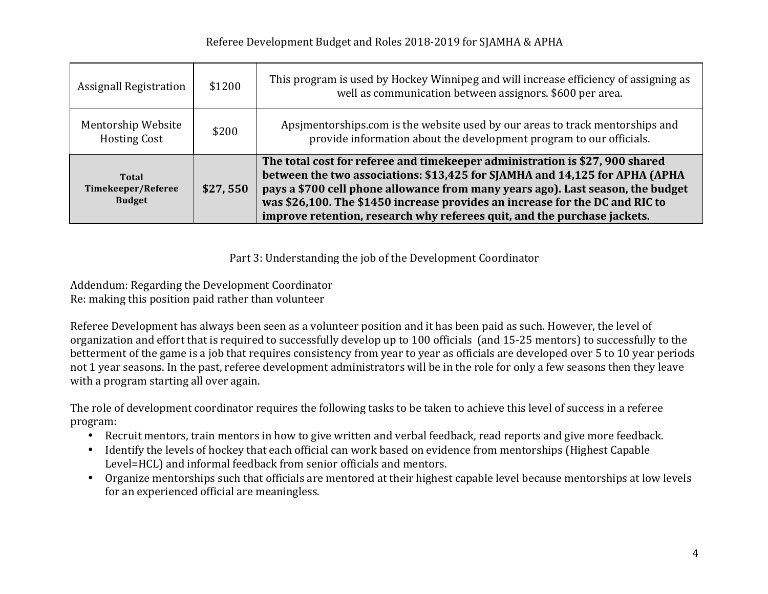| <b>Assignall Registration</b>                       | \$1200   | This program is used by Hockey Winnipeg and will increase efficiency of assigning as<br>well as communication between assignors. \$600 per area.                                                                                                                                                                                                                                                           |
|-----------------------------------------------------|----------|------------------------------------------------------------------------------------------------------------------------------------------------------------------------------------------------------------------------------------------------------------------------------------------------------------------------------------------------------------------------------------------------------------|
| Mentorship Website<br><b>Hosting Cost</b>           | \$200    | Apsimentorships.com is the website used by our areas to track mentorships and<br>provide information about the development program to our officials.                                                                                                                                                                                                                                                       |
| <b>Total</b><br>Timekeeper/Referee<br><b>Budget</b> | \$27,550 | The total cost for referee and timekeeper administration is \$27, 900 shared<br>between the two associations: \$13,425 for SJAMHA and 14,125 for APHA (APHA<br>pays a \$700 cell phone allowance from many years ago). Last season, the budget<br>was \$26,100. The \$1450 increase provides an increase for the DC and RIC to<br>improve retention, research why referees quit, and the purchase jackets. |

Part 3: Understanding the job of the Development Coordinator

Addendum: Regarding the Development Coordinator Re: making this position paid rather than volunteer

Referee Development has always been seen as a volunteer position and it has been paid as such. However, the level of organization and effort that is required to successfully develop up to 100 officials (and 15-25 mentors) to successfully to the betterment of the game is a job that requires consistency from year to year as officials are developed over 5 to 10 year periods not 1 year seasons. In the past, referee development administrators will be in the role for only a few seasons then they leave with a program starting all over again.

The role of development coordinator requires the following tasks to be taken to achieve this level of success in a referee program:

- Recruit mentors, train mentors in how to give written and verbal feedback, read reports and give more feedback.
- Identify the levels of hockey that each official can work based on evidence from mentorships (Highest Capable Level=HCL) and informal feedback from senior officials and mentors.
- Organize mentorships such that officials are mentored at their highest capable level because mentorships at low levels for an experienced official are meaningless.